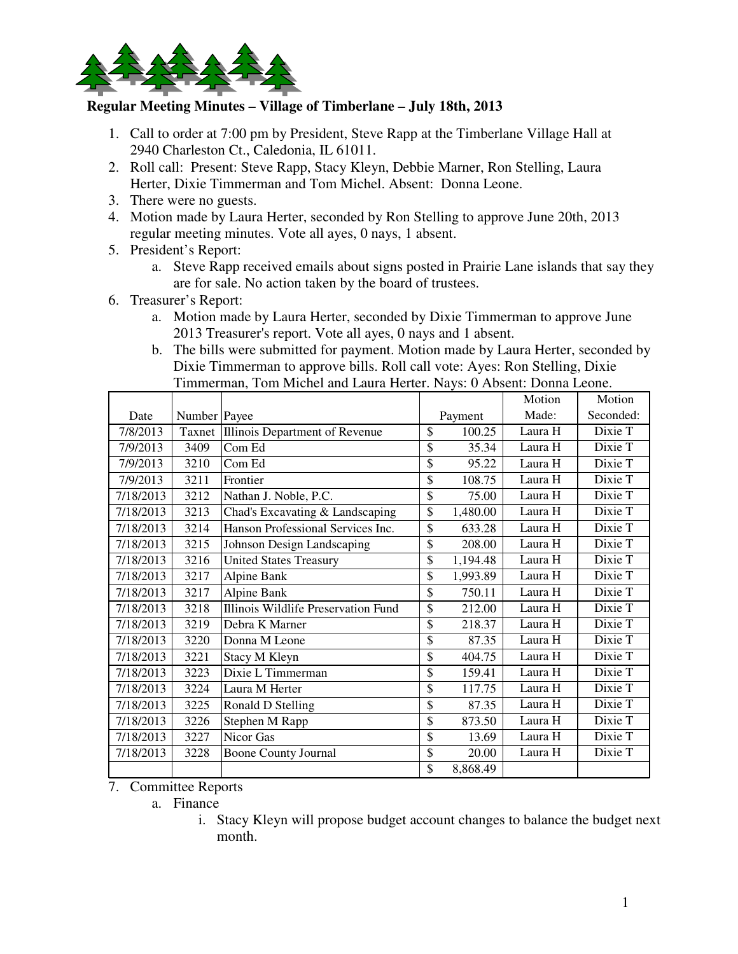

## **Regular Meeting Minutes – Village of Timberlane – July 18th, 2013**

- 1. Call to order at 7:00 pm by President, Steve Rapp at the Timberlane Village Hall at 2940 Charleston Ct., Caledonia, IL 61011.
- 2. Roll call: Present: Steve Rapp, Stacy Kleyn, Debbie Marner, Ron Stelling, Laura Herter, Dixie Timmerman and Tom Michel. Absent: Donna Leone.
- 3. There were no guests.
- 4. Motion made by Laura Herter, seconded by Ron Stelling to approve June 20th, 2013 regular meeting minutes. Vote all ayes, 0 nays, 1 absent.
- 5. President's Report:
	- a. Steve Rapp received emails about signs posted in Prairie Lane islands that say they are for sale. No action taken by the board of trustees.
- 6. Treasurer's Report:
	- a. Motion made by Laura Herter, seconded by Dixie Timmerman to approve June 2013 Treasurer's report. Vote all ayes, 0 nays and 1 absent.
	- b. The bills were submitted for payment. Motion made by Laura Herter, seconded by Dixie Timmerman to approve bills. Roll call vote: Ayes: Ron Stelling, Dixie Timmerman, Tom Michel and Laura Herter. Nays: 0 Absent: Donna Leone.

|           |              |                                     |                | Motion  | Motion    |
|-----------|--------------|-------------------------------------|----------------|---------|-----------|
| Date      | Number Payee |                                     | Payment        | Made:   | Seconded: |
| 7/8/2013  | Taxnet       | Illinois Department of Revenue      | \$<br>100.25   | Laura H | Dixie T   |
| 7/9/2013  | 3409         | Com Ed                              | \$<br>35.34    | Laura H | Dixie T   |
| 7/9/2013  | 3210         | Com Ed                              | \$<br>95.22    | Laura H | Dixie T   |
| 7/9/2013  | 3211         | Frontier                            | \$<br>108.75   | Laura H | Dixie T   |
| 7/18/2013 | 3212         | Nathan J. Noble, P.C.               | \$<br>75.00    | Laura H | Dixie T   |
| 7/18/2013 | 3213         | Chad's Excavating & Landscaping     | \$<br>1,480.00 | Laura H | Dixie T   |
| 7/18/2013 | 3214         | Hanson Professional Services Inc.   | \$<br>633.28   | Laura H | Dixie T   |
| 7/18/2013 | 3215         | Johnson Design Landscaping          | \$<br>208.00   | Laura H | Dixie T   |
| 7/18/2013 | 3216         | <b>United States Treasury</b>       | \$<br>1,194.48 | Laura H | Dixie T   |
| 7/18/2013 | 3217         | <b>Alpine Bank</b>                  | \$<br>1,993.89 | Laura H | Dixie T   |
| 7/18/2013 | 3217         | Alpine Bank                         | \$<br>750.11   | Laura H | Dixie T   |
| 7/18/2013 | 3218         | Illinois Wildlife Preservation Fund | \$<br>212.00   | Laura H | Dixie T   |
| 7/18/2013 | 3219         | Debra K Marner                      | \$<br>218.37   | Laura H | Dixie T   |
| 7/18/2013 | 3220         | Donna M Leone                       | \$<br>87.35    | Laura H | Dixie T   |
| 7/18/2013 | 3221         | Stacy M Kleyn                       | \$<br>404.75   | Laura H | Dixie T   |
| 7/18/2013 | 3223         | Dixie L Timmerman                   | \$<br>159.41   | Laura H | Dixie T   |
| 7/18/2013 | 3224         | Laura M Herter                      | \$<br>117.75   | Laura H | Dixie T   |
| 7/18/2013 | 3225         | Ronald D Stelling                   | \$<br>87.35    | Laura H | Dixie T   |
| 7/18/2013 | 3226         | Stephen M Rapp                      | \$<br>873.50   | Laura H | Dixie T   |
| 7/18/2013 | 3227         | Nicor Gas                           | \$<br>13.69    | Laura H | Dixie T   |
| 7/18/2013 | 3228         | Boone County Journal                | \$<br>20.00    | Laura H | Dixie T   |
|           |              |                                     | \$<br>8,868.49 |         |           |

7. Committee Reports

a. Finance

i. Stacy Kleyn will propose budget account changes to balance the budget next month.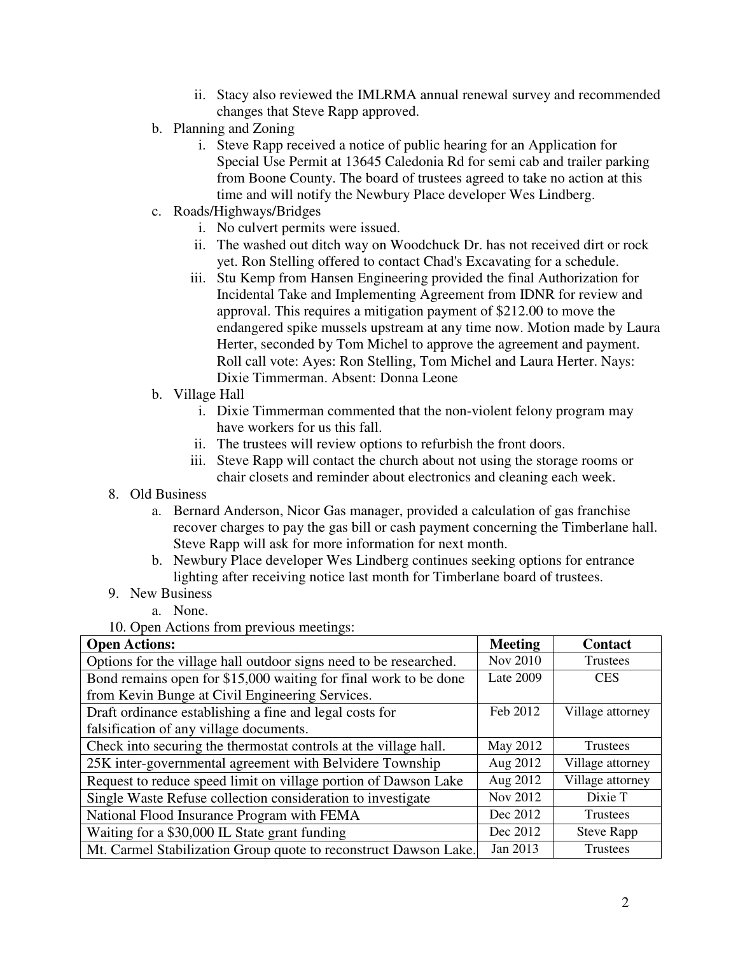- ii. Stacy also reviewed the IMLRMA annual renewal survey and recommended changes that Steve Rapp approved.
- b. Planning and Zoning
	- i. Steve Rapp received a notice of public hearing for an Application for Special Use Permit at 13645 Caledonia Rd for semi cab and trailer parking from Boone County. The board of trustees agreed to take no action at this time and will notify the Newbury Place developer Wes Lindberg.
- c. Roads/Highways/Bridges
	- i. No culvert permits were issued.
	- ii. The washed out ditch way on Woodchuck Dr. has not received dirt or rock yet. Ron Stelling offered to contact Chad's Excavating for a schedule.
	- iii. Stu Kemp from Hansen Engineering provided the final Authorization for Incidental Take and Implementing Agreement from IDNR for review and approval. This requires a mitigation payment of \$212.00 to move the endangered spike mussels upstream at any time now. Motion made by Laura Herter, seconded by Tom Michel to approve the agreement and payment. Roll call vote: Ayes: Ron Stelling, Tom Michel and Laura Herter. Nays: Dixie Timmerman. Absent: Donna Leone
- b. Village Hall
	- i. Dixie Timmerman commented that the non-violent felony program may have workers for us this fall.
	- ii. The trustees will review options to refurbish the front doors.
	- iii. Steve Rapp will contact the church about not using the storage rooms or chair closets and reminder about electronics and cleaning each week.
- 8. Old Business
	- a. Bernard Anderson, Nicor Gas manager, provided a calculation of gas franchise recover charges to pay the gas bill or cash payment concerning the Timberlane hall. Steve Rapp will ask for more information for next month.
	- b. Newbury Place developer Wes Lindberg continues seeking options for entrance lighting after receiving notice last month for Timberlane board of trustees.
- 9. New Business
	- a. None.

10. Open Actions from previous meetings:

| <b>Open Actions:</b>                                              | <b>Meeting</b> | <b>Contact</b>    |
|-------------------------------------------------------------------|----------------|-------------------|
| Options for the village hall outdoor signs need to be researched. | Nov 2010       | Trustees          |
| Bond remains open for \$15,000 waiting for final work to be done  | Late 2009      | <b>CES</b>        |
| from Kevin Bunge at Civil Engineering Services.                   |                |                   |
| Draft ordinance establishing a fine and legal costs for           | Feb 2012       | Village attorney  |
| falsification of any village documents.                           |                |                   |
| Check into securing the thermostat controls at the village hall.  | May 2012       | Trustees          |
| 25K inter-governmental agreement with Belvidere Township          | Aug 2012       | Village attorney  |
| Request to reduce speed limit on village portion of Dawson Lake   | Aug 2012       | Village attorney  |
| Single Waste Refuse collection consideration to investigate       | Nov 2012       | Dixie T           |
| National Flood Insurance Program with FEMA                        | Dec 2012       | <b>Trustees</b>   |
| Waiting for a \$30,000 IL State grant funding                     | Dec 2012       | <b>Steve Rapp</b> |
| Mt. Carmel Stabilization Group quote to reconstruct Dawson Lake.  | Jan 2013       | Trustees          |